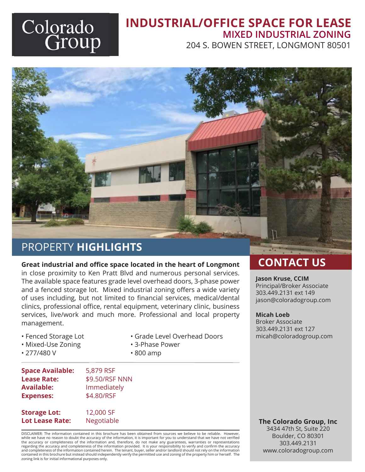# Colorado<br>Group

# **INDUSTRIAL/OFFICE SPACE FOR LEASE MIXED INDUSTRIAL ZONING**

204 S. BOWEN STREET, LONGMONT 80501

# PROPERTY **HIGHLIGHTS**

# **Great industrial and office space located in the heart of Longmont CONTACT US**

in close proximity to Ken Pratt Blvd and numerous personal services. The available space features grade level overhead doors, 3-phase power and a fenced storage lot. Mixed industrial zoning offers a wide variety of uses including, but not limited to financial services, medical/dental clinics, professional office, rental equipment, veterinary clinic, business services, live/work and much more. Professional and local property management.

• Grade Level Overhead Doors

• 3-Phase Power

• 800 amp

- Fenced Storage Lot
- Mixed-Use Zoning
- 277/480 V

| <b>Space Available:</b> | 5,879 RSF      |
|-------------------------|----------------|
| <b>Lease Rate:</b>      | \$9.50/RSF NNN |
| <b>Available:</b>       | Immediately    |
| <b>Expenses:</b>        | \$4.80/RSF     |
|                         |                |

**Storage Lot:** 12,000 SF

DISCLAIMER: The information contained in this brochure has been obtained from sources we believe to be reliable. However, while we have no reason to doubt the accuracy of the information, it is important for you to understand that we have not verified<br>the accuracy or completeness of the information and, therefore, do not make any guarantees, regarding the accuracy and completeness of the information provided. It is your responsibility to verify and confirm the accuracy and completeness of the information contained herein. The tenant, buyer, seller and/or landlord should not rely on the information contained in this brochure but instead should independently verify the permitted use and zoning of the property him or herself. The zoning link is for initial informational purposes only.

#### **Jason Kruse, CCIM**

Principal/Broker Associate 303.449.2131 ext 149 jason@coloradogroup.com

#### **Micah Loeb**

Broker Associate 303.449.2131 ext 127 micah@coloradogroup.com

**Lot Lease Rate:** Negotiable **The Colorado Group, Inc**

3434 47th St, Suite 220 Boulder, CO 80301 303.449.2131 www.coloradogroup.com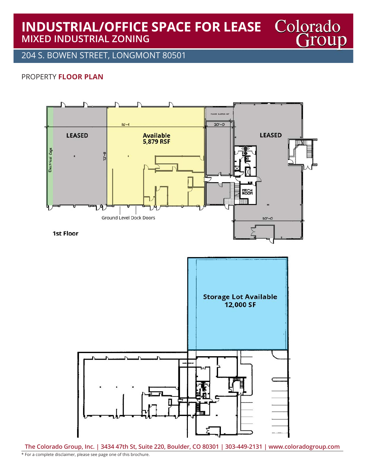## **INDUSTRIAL/OFFICE SPACE FOR LEASE MIXED INDUSTRIAL ZONING**

204 S. BOWEN STREET, LONGMONT 80501

#### PROPERTY **FLOOR PLAN**



**The Colorado Group, Inc. | 3434 47th St, Suite 220, Boulder, CO 80301 | 303-449-2131 | www.coloradogroup.com**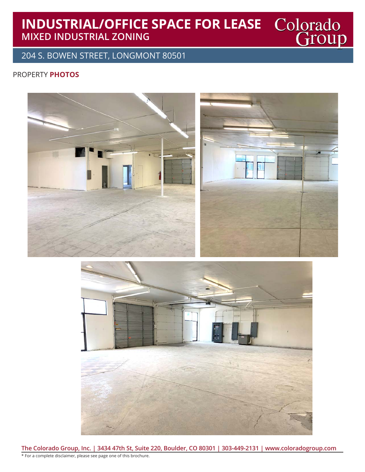# **INDUSTRIAL/OFFICE SPACE FOR LEASE MIXED INDUSTRIAL ZONING**

204 S. BOWEN STREET, LONGMONT 80501

#### PROPERTY **PHOTOS**